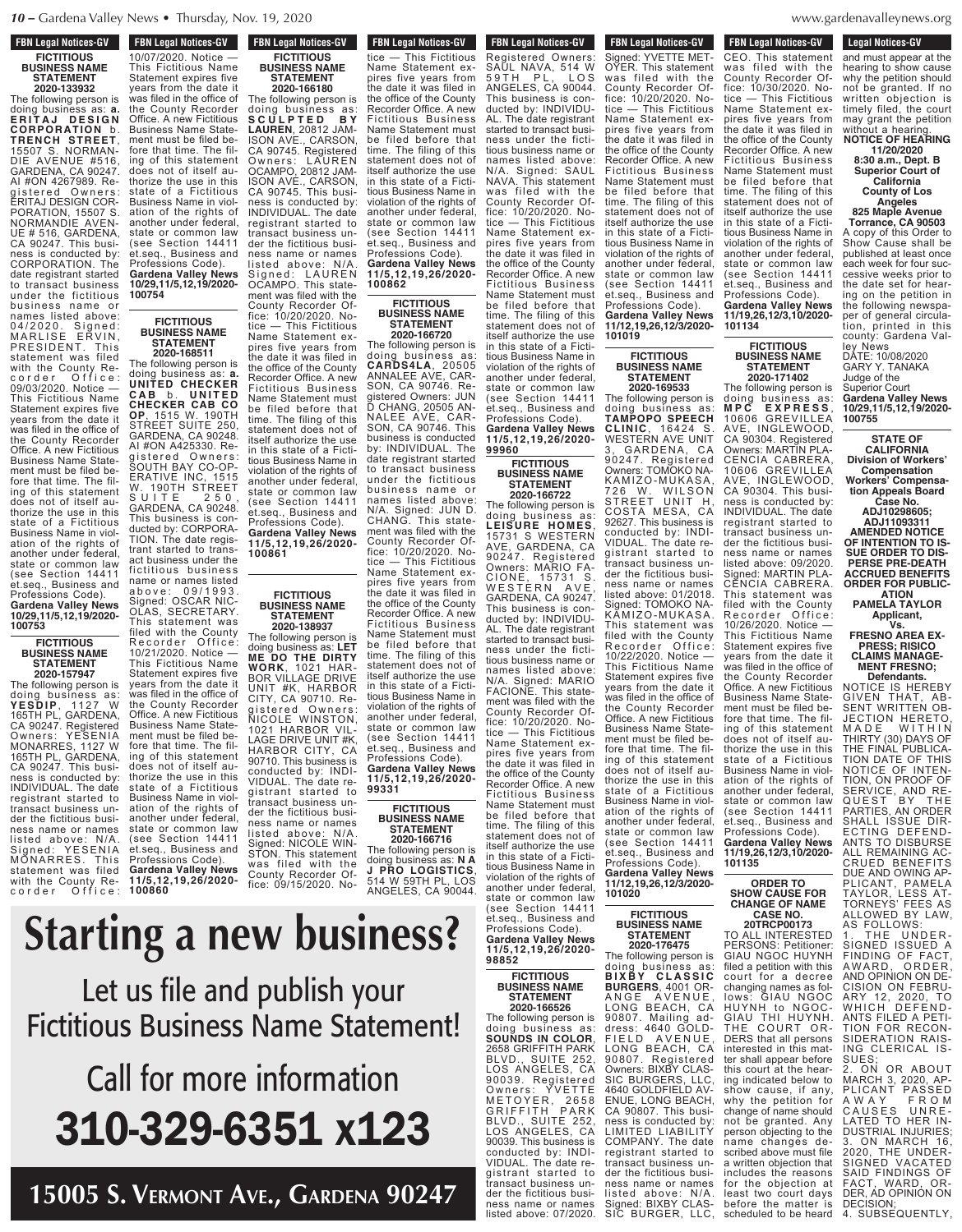**FBN Legal Notices-GV** 

**CONCEGAT MULTES-CIV** 

# **FBN Legal Notices-GV FICTITIOUS BUSINESS NAME STATEMENT**

**2020-133932** The following person is doing business as: **a. E R I T A J D E S I G N CORPORATION** b. **TRENCH STREET**, 15507 S. NORMAN-DIE AVENUE #516, GARDENA, CA 90247. AI #ON 4267989. Registered Owners: ERITAJ DESIGN COR-PORATION, 15507 S. NORMANDIE AVEN-UE # 516, GARDENA, CA 90247. This business is conducted by: CORPORATION. The date registrant started to transact business under the fictitious business name or names listed above: 04/2020. Signed: MARLISE ERVIN, PRESIDENT. This statement was filed with the County Re-<br>corder Office: corder Office: 09/03/2020. Notice — This Fictitious Name Statement expires five years from the date it was filed in the office of the County Recorder Office. A new Fictitious Business Name Statement must be filed before that time. The filing of this statement does not of itself authorize the use in this state of a Fictitious Business Name in violation of the rights of another under federal, state or common law (see Section 14411 et.seq., Business and Professions Code). **Gardena Valley News 10/29,11/5,12,19/2020-**

# **FICTITIOUS BUSINESS NAME STATEMENT**

**100753**

**2020-157947** The following person is doing business as: **YES D IP**, 1 1 2 7 W **YESDIP**, 1127 W<br>165TH PL, GARDENA CA 90247. Registered Owners: YESENIA MONARRES, 1127 W 165TH PL, GARDENA, CA 90247. This business is conducted by: INDIVIDUAL. The date registrant started to transact business under the fictitious business name or names listed above: N/A. Signed: YESENIA Signed. ILSLINIA statement was filed with the County Recorder Office:

10/07/2020. Notice — This Fictitious Name Statement expires five years from the date it was filed in the office of the County Recorder Office. A new Fictitious Business Name Statement must be filed before that time. The filing of this statement does not of itself authorize the use in this state of a Fictitious Business Name in violation of the rights of another under federal, state or common law (see Section 14411)<br>et.seq., Business and et.seq., Business and Professions Code). **Gardena Valley News 10/29,11/5,12,19/2020- 100754**

# **FICTITIOUS BUSINESS NAME STATEMENT**

**2020-168511** The following person is doing business as: **a. UNITED CHECKER C A B** b . **U N I T E D CHECKER CAB CO OP**, 1515 W. 190TH STREET SUITE 250, GARDENA, CA 90248. AI #ON A425330. Registered Owners: SOUTH BAY CO-OP-ERATIVE INC, 1515 W. 190TH STREET S U I T E 250, GARDENA, CA 90248. This business is conducted by: CORPORA-TION. The date registrant started to transact business under the fictitious business name or names listed a b o v e : 0 9 / 1 9 9 3 . Signed: OSCAR NIC-OLAS, SECRETARY. This statement was filed with the County Recorder Office: Recorder Office<br>10/21/2020 Notice -This Fictitious Name Statement expires five years from the date it was filed in the office of the County Recorder

Office. A new Fictitious Business Name Statement must be filed before that time. The filing of this statement does not of itself authorize the use in this state of a Fictitious Business Name in violation of the rights of another under federal, state or common law (see Section 14411 et.seq., Business and Professions Code). **Gardena Valley News 11/5,12,19,26/2020-**

**100860**

**FICTITIOUS BUSINESS NAME STATEMENT 2020-166180** The following person is doing business as: **S C U L P T E D B Y LAUREN**, 20812 JAM-ISON AVE., CARSON, CA 90745. Registered Owners: LAUREN OCAMPO, 20812 JAM-ISON AVE., CARSON, CA 90745. This business is conducted by: INDIVIDUAL. The date registrant started to

transact business under the fictitious business name or names listed above: N/A. Signed: LAUREN OCAMPO. This statement was filed with the County Recorder Office: 10/20/2020. Notice — This Fictitious

Name Statement expires five years from the date it was filed in the office of the County Recorder Office. A new Fictitious Business Name Statement must be filed before that time. The filing of this statement does not of itself authorize the use in this state of a Fictitious Business Name in violation of the rights of another under federal, state or common law (see Section 14411 et.seq., Business and Professions Code). **Gardena Valley News 11/5,12,19,26/2020- 100861**

#### **FICTITIOUS BUSINESS NAME STATEMENT 2020-138937**

The following person is doing business as: **LET ME DO THE DIRTY WORK**, 1021 HAR-BOR VILLAGE DRIVE UNIT #K, HARBOR CITY, CA 90710. Registered Owners: NICOLE WINSTON, 1021 HARBOR VIL-LAGE DRIVE UNIT #K, HARBOR CITY, CA 90710. This business is conducted by: INDI-VIDUAL. The date registrant started to transact business under the fictitious business name or names listed above: N/A. Signed: NICOLE WIN-STON. This statement was filed with the County Recorder Office: 09/15/2020. No-

tice — This Fictitious

### **FBN Legal Notices-GV** FBN Leyal Nutles-GV tice — This Fictitious Name Statement expires five years from the date it was filed in the office of the County Recorder Office. A new Fictitious Business Name Statement must be filed before that time. The filing of this statement does not of itself authorize the use in this state of a Fictitious Business Name in violation of the rights of another under federal, state or common law (see Section 14411 et.seq., Business and **FBN Legal Notices-GV**

Professions Code). **Gardena Valley News 11/5,12,19,26/2020- 100862**

#### **FICTITIOUS BUSINESS NAME STATEMENT 2020-166720**

**99960**

**FICTITIOUS BUSINESS NAME STATEMENT 2020-166722** The following person is doing business as: **LEISURE HOMES**, 15731 S WESTERN AVE, GARDENA, CA 90247. Registered Owners: MARIO FA-CIONE, 15731 S. WESTERN AVE, GARDENA, CA 90247. This business is conducted by: INDIVIDU-AL. The date registrant started to transact business under the fictitious business name or names listed above<br>N/A. Signed: MARIO . Signed: MARIO FACIONE. This statement was filed with the County Recorder Of-<br>fice: 10/20/2020. Nofice:  $10/20/2020$ .<br>tice  $-$  This Ficti

The following person is doing business as: **CARDS4LA**, 20505 ANNALEE AVE, CAR-SON, CA 90746. Registered Owners: JUN D CHANG, 20505 AN-NALEE AVE, CAR-SON, CA 90746. This business is conducted by: INDIVIDUAL. The date registrant started to transact business under the fictitious business name or names listed above: N/A. Signed: JUN D. CHANG. This statement was filed with the County Recorder Office: 10/20/2020. Notice — This Fictitious Name Statement ex-<br>pires five years from five years from the date it was filed in the office of the County Recorder Office. A new Fictitious Business Name Statement must be filed before that time. The filing of this statement does not of itself authorize the use in this state of a Fictitious Business Name in violation of the rights of another under federal, state or common law (see Section 14411 et.seq., Business and Professions Code). **Gardena Valley News 11/5,12,19,26/2020- 99331**

## **FICTITIOUS BUSINESS NAME STATEMENT**

**2020-166716** The following person doing business as: **N A J PRO LOGISTICS**, 514 W 59TH PL, LOS ANGELES, CA 90044.

statement does not of

another under federal,

SAUL NAVA, 514 W 5 9 T H P L , L O S ANGELES, CA 90044. Thus business in  $\blacksquare$ pires five years from  $\mathbf{u}$  is a filed in definition in the data in  $\mathbf{u}$ the office of the County Recorder Office. A new This Fictitious Name Statement expires five years from the date it was filed in the office of the office of the office of the office of the office of the office of the office of **Starting a new business?** 

 $\sim$ ness under the fiction  $\sim$ tious business name or names listed above: N/A. Signed: SAUL TAMANTI with the control be filed before that nuhlich s publish **d** itself authorize the use  $N_{\rm D}$ mo $\Omega_{\rm E}$ tious Business Du violation of the rights of Business Name Statement must be find  $\mathsf{F}$ for the file that the file  $\Gamma$ **Example 1 Set us file and publish your** does not of itself au**the the use in the use in the use i**n the use in the use in the use in the use in the use in the use in the use i **Fictitious Business Name Statement!** 

#### $\cap$ n $\cap$ pires five years from  $\mathbf{t}$  of the County of the County of the County of the County of the County of the County of the County of the County of the County of the County of the County of the County of the County of the County of the County of Recorder Office. A new  $-$ Fiction Business Business  $B_1$ Lav Sta be filed before that state or common law  $\frac{1}{2}$ et. Business and the stress and the stress and the stress are the stress and the stress and the stress and th Professions Code). **110008251 V** another under federal, state or common law **Call for more information** Professions Code). **10/29,11/5,12,19/2020-** 310-329-6351 x123

itself authorize the use  $\lambda$  QAY $\lambda$   $7$ 15005 S. Vermont Ave., Gardena 90247 **FBN Legal Notices-GV Listed about a control of the above above** Signed: YVETTE MET-OYER. This statement was filed with the

**FBN Legal Notices-GV FON LEGAL NUMBER-QV** Registered Owners: SAUL NAVA, 514 W 59TH PL, LOS ANGELES, CA 90044. This business is conducted by: INDIVIDU-AL. The date registrant started to transact business under the fictitious business name or names listed above: N/A. Signed: SAUL NAVA. This statement was filed with the County Recorder Office: 10/20/2020. Notice — This Fictitious Name Statement expires five years from the date it was filed in the office of the County Recorder Office. A new Fictitious Business Name Statement must be filed before that time. The filing of this statement does not of itself authorize the use in this state of a Fictitious Business Name in violation of the rights of another under federal, state or common law (see Section 14411 et.seq., Business and Professions Code). **Gardena Valley News 11/5,12,19,26/2020-**

County Recorder Of-<br>fice: 10/20/2020. Nofice: 10/20/2020. No-<br>tice — This Fictitious tice — This Fictitious Name Statement expires five years from the date it was filed in the office of the County Recorder Office. A new Fictitious Business Name Statement must be filed before that time. The filing of this statement does not of itself authorize the use in this state of a Fictitious Business Name in violation of the rights of another under federal, state or common law (see Section 14411 et.seq., Business and Professions Code). **Gardena Valley News 11/12,19,26,12/3/2020- 101019**

> **FICTITIOUS BUSINESS NAME STATEMENT 2020-169533**

The following person is doing business as: **TAMPOPO SPEECH CLINIC**, 16424 S. WESTERN AVE UNIT 3, GARDENA, CA 90247. Registered Owners: TOMOKO NA-KA M IZO- M U KASA, 726 W. WILSON STREET UNIT H, COSTA MESA, CA 92627. This business is conducted by: INDI-VIDUAL. The date registrant started to transact business under the fictitious business name or names listed above: 01/2018. Signed: TOMOKO NA-KĂMIZO-MUKASA This statement was filed with the County Recorder Office: 10/22/2020. Notice — This Fictitious Name Statement expires five years from the date it was filed in the office of the County Recorder Office. A new Fictitious Business Name Statement must be filed before that time. The filing of this statement does not of itself authorize the use in this state of a Fictitious Business Name in violation of the rights of another under federal, state or common law (see Section 14411 et.seq., Business and Professions Code). **Gardena Valley News 11/12,19,26,12/3/2020- 101020**

# **FICTITIOUS BUSINESS NAME STATEMENT 2020-176475**

The following person is doing business as: **B I X B Y C L A S S I C BURGERS**, 4001 OR-ANGE AVENUE, LONG BEACH, CA 90807. Mailing address: 4640 GOLD-FIELD AVENUE, LONG BEACH, CA 90807. Registered Owners: BIXBY CLAS-SIC BURGERS, LLC 4640 GOLDFIELD AV-ENUE, LONG BEACH, CA 90807. This business is conducted by: LIMITED LIABILITY COMPANY. The date registrant started to transact business under the fictitious business name or names listed above: N/A. Signed: BIXBY CLAS-SIC BURGER, LLC, listed above: 07/2020.

**FBN Legal Notices-GV FURCHERS-UP** CEO. This statement was filed with the County Recorder Office: 10/30/2020. Notice — This Fictitious Name Statement expires five years from

the date it was filed in the office of the County Recorder Office. A new Fictitious Business Name Statement must be filed before that time. The filing of this statement does not of itself authorize the use in this state of a Fictitious Business Name in violation of the rights of another under federal, state or common law (see Section 14411 et.seq., Business and Professions Code).

**Gardena Valley News 11/19,26,12/3,10/2020- 101134 FICTITIOUS**

**BUSINESS NAME STATEMENT 2020-171402** The following person is

doing business as: **M P C E X P R E S S** , 10606 GREVILLEA INGLEWOOD CA 90304. Registered Owners: MARTIN PLA-CENCIA CABRERA, 10606 GREVILLEA AVE, INGLEWOOD, CA 90304. This business is conducted by: INDIVIDUAL. The date registrant started to transact business under the fictitious business name or names listed above: 09/2020. gned: MARTIN PLA-CENCIA CABRERA. This statement was filed with the County<br>Recorder Office: Recorder Office: 10/26/2020. Notice — This Fictitious Name Statement expires five years from the date it was filed in the office of the County Recorder Office. A new Fictitious Business Name Statement must be filed before that time. The filing of this statement does not of itself authorize the use in this state of a Fictitious Business Name in violation of the rights of another under federal, state or common law (see Section 14411 et.seq., Business and Professions Code). **Gardena Valley News 11/19,26,12/3,10/2020- 101135**

## **ORDER TO SHOW CAUSE FOR CHANGE OF NAME CASE NO.**

**20TRCP00173** TO ALL INTERESTED PERSONS: Petitioner: GIAU NGOC HUYNH filed a petition with this court for a decree changing names as follows: GIAU NGOC HUYNH to NGOC-GIAU THI HUYNH.<br>THE COURT OR-COURT OR-DERS that all persons interested in this matter shall appear before this court at the hearing indicated below to show cause, if any, why the petition for change of name should not be granted. Any person objecting to the name changes described above must file a written objection that includes the reasons for the objection at least two court days before the matter is

denavalleynews.org  $\frac{1}{2}$ ness names names names names names names names names names names names names names names names names names names names names names names names names names names names names names names names names names names names names n  $\ldots$   $\ldots$   $\ldots$   $\ldots$ 

**Legal Notices-GV** Legal Nutries-GV and must appear at the hearing to show cause

why the petition should not be granted. If no objection is timely filed, the court may grant the petition without a hearing **NOTICE OF HEARING 11/20/2020 8:30 a.m., Dept. B Superior Court of California County of Los Angeles 825 Maple Avenue Torrance, CA 90503** A copy of this Order to Show Cause shall be published at least once each week for four successive weeks prior to the date set for hearing on the petition in the following newspaper of general circulation, printed in this

county: Gardena Valley News DATE: 10/08/2020 GARY Y. TANAKA Judge of the Superior Court **Gardena Valley News 10/29,11/5,12,19/2020- 100755**

**STATE OF CALIFORNIA Division of Workers' Compensation Workers' Compensation Appeals Board**

**Case No. ADJ10298605; ADJ11093311 AMENDED NOTICE OF INTENTION TO IS-SUE ORDER TO DIS-PERSE PRE-DEATH ACCRUED BENEFITS**

**ORDER FOR PUBLIC-ATION PAMELA TAYLOR Applicant,**

**Vs. FRESNO AREA EX-**

**PRESS; RISICO CLAIMS MANAGE-MENT FRESNO; Defendants.**

NOTICE IS HEREBY GIVEN THAT, AB-SENT WRITTEN OB-JECTION HERETO, M A D E W I T H I N THIRTY (30) DAYS OF THE FINAL PUBLICA-TION DATE OF THIS NOTICE OF INTEN-TION, ON PROOF OF SERVICE, AND RE-QUEST BY THE PARTIES, AN ORDER SHALL ISSUE DIR-ECTING DEFEND-ANTS TO DISBURSE ALL REMAINING AC-CRUED BENEFITS DUE AND OWING AP-PLICANT, PAMELA TAYLOR, LESS AT-TORNEYS' FEES AS ALLOWED BY LAW,

AS FOLLOWS: 1. THE UNDER-SIGNED ISSUED A FINDING OF FACT<br>AWARD, ORDER AWARD, ORDER, AND OPINION ON DE-CISION ON FEBRU-ARY 12, 2020, TO WHICH DEFEND-ANTS FILED A PETI-TION FOR RECON-SIDERATION RAIS-ING CLERICAL IS-

SUE 2. ON OR ABOUT MARCH 3, 2020, AP-PLICANT PASSED A W A Y F R O M CAUSES UNRE-LATED TO HER IN-DUSTRIAL INJURIES;<br>3 ON MARCH 16 ON MARCH 2020, THE UNDER-SIGNED VACATED SAID FINDINGS OF FACT, WARD, OR-DER, AD OPINION ON DECISION;

scheduled to be heard 4. SUBSEQUENTLY,

**FICTITIOUS BUSINESS NAME STATEMENT 2020-166526** The following person is

**98852**

This Fictitious Name Statement expires five years from the date it was filed in the office of the County Recorder Office. A new Fictitious Business Name Statement must be filed before that time. The filing of this statement does not of itself authorize the use in this state of a Fictitious Business Name in violation of the rights of another under federal, state or common law (see Section 14411 et.seq., Business and Professions Code). **Gardena Valley News 11/5,12,19,26/2020-**

doing business as: **SOUNDS IN COLOR**, 2658 GRIFFITH PARK BLVD., SUITE 252, LOS ANGELES, CA 90039. Registered Owners: YVETTE METOYER, 2658 GRIFFITH PARK BLVD., SUITE 252, LOS ANGELES, CA 90039. This business is conducted by: INDI-VIDUAL. The date registrant started to transact business under the fictitious business name or names